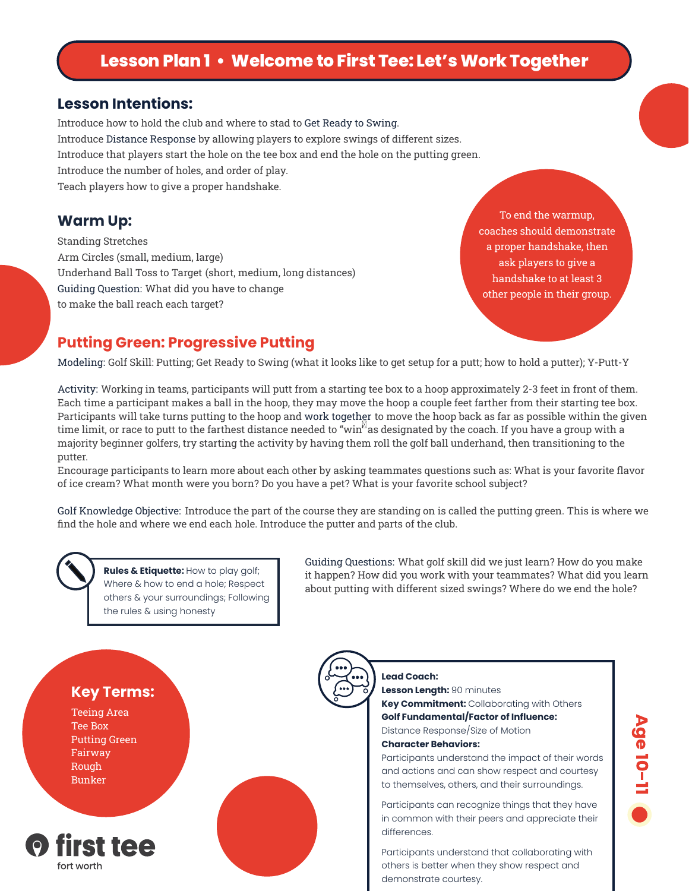# **Lesson Plan 1 • Welcome to First Tee: Let's Work Together**

#### **Lesson Intentions:**

Introduce how to hold the club and where to stad to Get Ready to Swing. Introduce Distance Response by allowing players to explore swings of different sizes. Introduce that players start the hole on the tee box and end the hole on the putting green. Introduce the number of holes, and order of play. Teach players how to give a proper handshake.

Standing Stretches Arm Circles (small, medium, large) Underhand Ball Toss to Target (short, medium, long distances) Guiding Question: What did you have to change to make the ball reach each target?

**Warm Up:** To end the warmup, coaches should demonstrate a proper handshake, then ask players to give a handshake to at least 3 other people in their group.

#### **Putting Green: Progressive Putting**

Modeling: Golf Skill: Putting; Get Ready to Swing (what it looks like to get setup for a putt; how to hold a putter); Y-Putt-Y

Activity: Working in teams, participants will putt from a starting tee box to a hoop approximately 2-3 feet in front of them. Each time a participant makes a ball in the hoop, they may move the hoop a couple feet farther from their starting tee box. Participants will take turns putting to the hoop and work together to move the hoop back as far as possible within the given time limit, or race to putt to the farthest distance needed to "win" as designated by the coach. If you have a group with a majority beginner golfers, try starting the activity by having them roll the golf ball underhand, then transitioning to the putter.

Encourage participants to learn more about each other by asking teammates questions such as: What is your favorite flavor of ice cream? What month were you born? Do you have a pet? What is your favorite school subject?

Golf Knowledge Objective: Introduce the part of the course they are standing on is called the putting green. This is where we find the hole and where we end each hole. Introduce the putter and parts of the club.

**Rules & Etiquette:** How to play golf; Where & how to end a hole; Respect others & your surroundings; Following the rules & using honesty

Guiding Questions: What golf skill did we just learn? How do you make it happen? How did you work with your teammates? What did you learn about putting with different sized swings? Where do we end the hole?